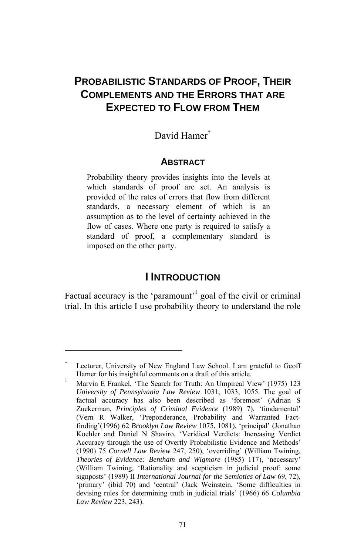# **PROBABILISTIC STANDARDS OF PROOF, THEIR COMPLEMENTS AND THE ERRORS THAT ARE EXPECTED TO FLOW FROM THEM**

## David Hamer<sup>∗</sup>

### **ABSTRACT**

Probability theory provides insights into the levels at which standards of proof are set. An analysis is provided of the rates of errors that flow from different standards, a necessary element of which is an assumption as to the level of certainty achieved in the flow of cases. Where one party is required to satisfy a standard of proof, a complementary standard is imposed on the other party.

## **I INTRODUCTION**

Factual accuracy is the 'paramount' goal of the civil or criminal trial. In this article I use probability theory to understand the role

<sup>∗</sup> Lecturer, University of New England Law School. I am grateful to Geoff Hamer for his insightful comments on a draft of this article.

<span id="page-0-0"></span>Marvin E Frankel, 'The Search for Truth: An Umpireal View' (1975) 123 *University of Pennsylvania Law Review* 1031, 1033, 1055. The goal of factual accuracy has also been described as 'foremost' (Adrian S Zuckerman, *Principles of Criminal Evidence* (1989) 7), 'fundamental' (Vern R Walker, 'Preponderance, Probability and Warranted Factfinding'(1996) 62 *Brooklyn Law Review* 1075, 1081), 'principal' (Jonathan Koehler and Daniel N Shaviro, 'Veridical Verdicts: Increasing Verdict Accuracy through the use of Overtly Probabilistic Evidence and Methods' (1990) 75 *Cornell Law Review* 247, 250), 'overriding' (William Twining, *Theories of Evidence: Bentham and Wigmore* (1985) 117), 'necessary' (William Twining, 'Rationality and scepticism in judicial proof: some signposts' (1989) II *International Journal for the Semiotics of Law* 69, 72), 'primary' (ibid 70) and 'central' (Jack Weinstein, 'Some difficulties in devising rules for determining truth in judicial trials' (1966) 66 *Columbia Law Review* 223, 243).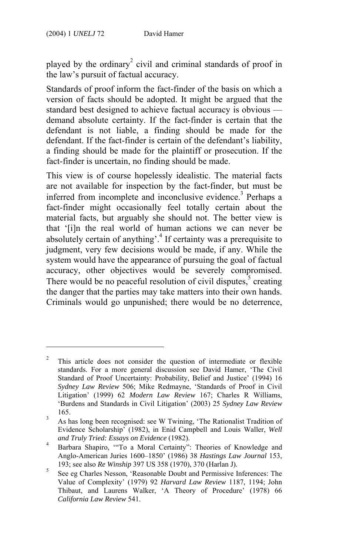$\overline{a}$ 

played by the ordinary<sup>2</sup> civil and criminal standards of proof in the law's pursuit of factual accuracy.

Standards of proof inform the fact-finder of the basis on which a version of facts should be adopted. It might be argued that the standard best designed to achieve factual accuracy is obvious demand absolute certainty. If the fact-finder is certain that the defendant is not liable, a finding should be made for the defendant. If the fact-finder is certain of the defend[an](#page-1-0)t's liability, a finding should be made for the plaintiff or prosecution. If the fact-finder is uncertain, no finding should be made.

This view is of course hopelessly idealistic. The material facts are not available for inspection by the fact-finder, but must be inferred from incomplete and inconclusive evidence.<sup>3</sup> Perhaps a fact-finder might occasionally feel totally certain about the material facts, but arguably she should not. The better view is that '[i]n the real world of human actions we can never be absolutely certain of anything'.<sup>4</sup> If certainty was a prerequisite to judgment, very few decisions would be made, if any. While the system would have the appearance of pursuing the goal of factual accuracy, other objectives would be severely compromised. There would be no peaceful resolution of civil disputes, $5$  creating the danger that the parties may take matters into their own hands. Criminals would go unpunished; there would be no deterrence,

<sup>2</sup> This article does not consider the question of intermediate or flexible standards. For a more general discussion see David Hamer, 'The Civil Standard of Proof Uncertainty: Probability, Belief and Justice' (1994) 16 *Sydney Law Review* 506; Mike Redmayne, 'Standards of Proof in Civil Litigation' (1999) 62 *Modern Law Review* 167; Charles R Williams, 'Burdens and Standards in Civil Litigation' (2003) 25 *Sydney Law Review*  $165.$ 

As has long been recognised: see W Twining, 'The Rationalist Tradition of Evidence Scholarship' (1982), in Enid Campbell and Louis Waller, *Well and Truly Tried: Essays on Evidence* (1982). 4

<span id="page-1-0"></span>Barbara Shapiro, '"To a Moral Certainty": Theories of Knowledge and Anglo-American Juries 1600–1850' (1986) 38 *Hastings Law Journal* 153, 193; see also *Re Winship* 397 US 358 (1970), 370 (Harlan J). 5

See eg Charles Nesson, 'Reasonable Doubt and Permissive Inferences: The Value of Complexity' (1979) 92 *Harvard Law Review* 1187, 1194; John Thibaut, and Laurens Walker, 'A Theory of Procedure' (1978) 66 *California Law Review* 541.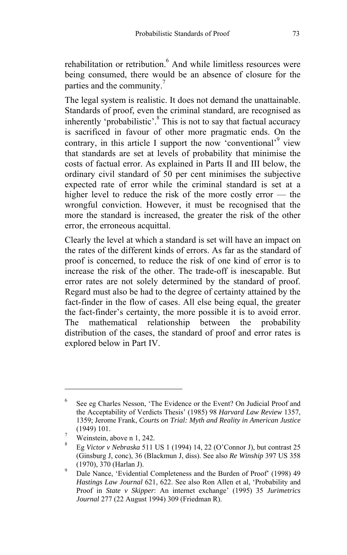rehabilitation or retribution.<sup>6</sup> And while limitless resources were being consumed, there would be an absence of closure for the parties and the community.<sup>7</sup>

The legal system is realistic. It does not demand the unattainable. Standards of proof, even the criminal standard, are recognised as inherently 'probabilistic'.<sup>8</sup> This is not to say that factual accuracy is sacrificed in favour of other more pragmatic ends. On the contrary, in this article I support the now 'conventional'<sup>9</sup> view that standards are set at levels of probability that minimise the costs of factual error. As explained in Parts II and III below, the ordinary civil standard of 50 per cent minimises the subjective expected rate of error while the criminal standard is set at a higher level to reduce the risk of the more costly error — the wrongful conviction. However, it must be recognised that the more the standard is increased, the greater the risk of the other error, the erroneous acquittal.

Clearly the level at which a standard is set will have an impact on the rates of the different kinds of errors. As far as the standard of proof is concerned, to reduce the risk of one kind of error is to increase the risk of the other. The trade-off is inescapable. But error rates are not solely determined by the standard of proof. Regard must also be had to the degree of certainty attained by the fact-finder in the flow of cases. All else being equal, the greater the fact-finder's certainty, the more possible it is to avoid error. The mathematical relationship between the probability distribution of the cases, the standard of proof and error rates is explored below in Part IV.

<sup>6</sup> See eg Charles Nesson, 'The Evidence or the Event? On Judicial Proof and the Acceptability of Verdicts Thesis' (1985) 98 *Harvard Law Review* 1357, 1359; Jerome Frank, *Courts on Trial: Myth and Reality in American Justice*  $(1949)$  101.

Weinstein, above n 1, 242.

<span id="page-2-0"></span><sup>8</sup> Eg *Victor v Nebraska* 511 US 1 (1994) 14, 22 (O'Connor J), but contrast 25 (Ginsburg J, conc), 36 (Blackmun J, diss). See also *Re Winship* 397 US 358  $(1970), 370$  (Harlan J).

Dale Nance, 'Evidential Completeness and the Burden of Proof' (1998) 49 *Hastings Law Journal* 621, 622. See also Ron Allen et al, 'Probability and Proof in *State v Skipper*: An internet exchange' (1995) 35 *Jurimetrics Journal* 277 (22 August 1994) 309 (Friedman R).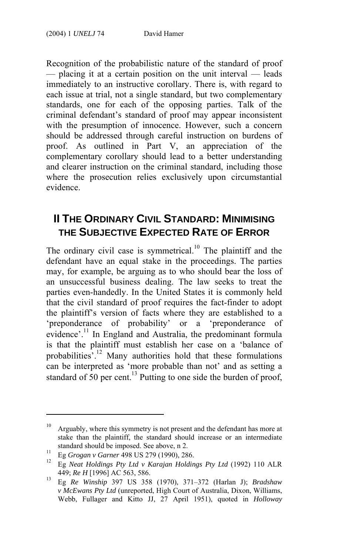Recognition of the probabilistic nature of the standard of proof — placing it at a certain position on the unit interval — leads immediately to an instructive corollary. There is, with regard to each issue at trial, not a single standard, but two complementary standards, one for each of the opposing parties. Talk of the criminal defendant's standard of proof may appear inconsistent with the presumption of innocence. However, such a concern should be addressed through careful instruction on burdens of proof. As outlined in Part V, an appreciation of the complementary corollary should lead to a better understand[in](#page-3-0)g and clearer instruction on the criminal standard, including those where the prosecution relies exclusively upon circumstantial evidence.

# **II THE ORDINARY CIVIL STANDARD: MINIMISING THE SUBJECTIVE EXPECTED RATE OF ERROR**

The ordinary civil case is symmetrical.<sup>10</sup> The plaintiff and the defendant have an equal stake in [th](#page-3-2)e proceedings. The parties may, for example, be arguing as to who should bear the loss of an unsuccessful business dealing. The la[w s](#page-3-3)eeks to treat the parties even-handedly. In the United States it is commonly held that the civil standard of proof requires the fact-finder to adopt the plaintiff's version of facts where they are established to a 'preponderance of probability' or a 'preponderance of evidence'.<sup>11</sup> In England and Australia, the predominant formula is that the plaintiff must establish her case on a 'balance of probabilities<sup>'.12</sup> Many authorities hold that these formulations can be interpreted as 'more probable than not' and as setting a standard of  $\frac{1}{50}$  per cent.<sup>13</sup> Putting to one side the burden of proof,

<span id="page-3-0"></span>Arguably, where this symmetry is not present and the defendant has more at stake than the plaintiff, the standard should increase or an intermediate

<span id="page-3-2"></span><span id="page-3-1"></span>

standard should be imposed. See above, n 2. 11 Eg *Grogan v Garner* 498 US 279 (1990), 286. 12 Eg *Neat Holdings Pty Ltd v Karajan Holdings Pty Ltd* (1992) 110 ALR

<span id="page-3-3"></span><sup>449;</sup> *Re H* [1996] AC 563, 586. 13 Eg *Re Winship* 397 US 358 (1970), 371–372 (Harlan J); *Bradshaw v McEwans Pty Ltd* (unreported, High Court of Australia, Dixon, Williams, Webb, Fullager and Kitto JJ, 27 April 1951), quoted in *Holloway*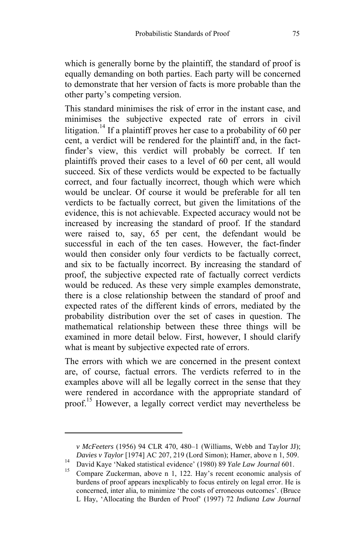which is generally borne by the plaintiff, the standard of proof is equally demanding on both parties. Each party will be concerned to demonstrate that her version of facts is more probable than the other party's competing version.

This standard minimises the risk of error in the instant case, and minimises the subjective expected rate of errors in civil litigation.<sup>14</sup> If a plaintiff proves her case to a probability of 60 per cent, a verdict will be rendered for the plaintiff and, in the factfinder's view, this verdict will probably be correct. If ten plaintiffs proved their cases to a level of 60 per cent, all would succeed. Six of these verdicts would be expected to be factually correct, and four factually incorrect, though which were which would be unclear. Of course it would be preferable for all ten verdicts to be factually correct, but given the limitations of the evidence, this is not achievable. Expected accuracy would not be increased by increasing the standard of proof. If the standard were raised to, say, 65 per cent, the defendant would be successful in each of the ten cases. However, the fact-finder would then consider only four verdicts to be factually correct, and six to be factually incorrect. By increasing the standard of proof, the subjective expected rate of factually correct verdicts would be reduced. As these very simple examples demonstrate, there is a close relationship between the standard of proof and expected rates of the diffe[re](#page-4-1)nt kinds of errors, mediated by the probability distribution over the set of cases in question. The mathematical relationship between these three things will be examined in more detail below*.* First, however, I should clarify what is meant by subjective expected rate of errors.

The errors with which we are concerned in the present context are, of course, factual errors. The verdicts referred to in the examples above will all be legally correct in the sense that they were rendered in accordance with the appropriate standard of proof.15 However, a legally correct verdict may nevertheless be

*v McFeeters* (1956) 94 CLR 470, 480–1 (Williams, Webb and Taylor JJ); *Davies v Taylor* [1974] AC 207, 219 (Lord Simon); Hamer, above n 1, 509.<br>
David Kaye 'Naked statistical evidence' (1980) 89 *Yale Law Journal* 601.<br>
Compare Zuckerman, above n 1, 122. Hay's recent economic analysis of

<span id="page-4-0"></span>

<span id="page-4-1"></span>burdens of proof appears inexplicably to focus entirely on legal error. He is concerned, inter alia, to minimize 'the costs of erroneous outcomes'. (Bruce L Hay, 'Allocating the Burden of Proof' (1997) 72 *Indiana Law Journal*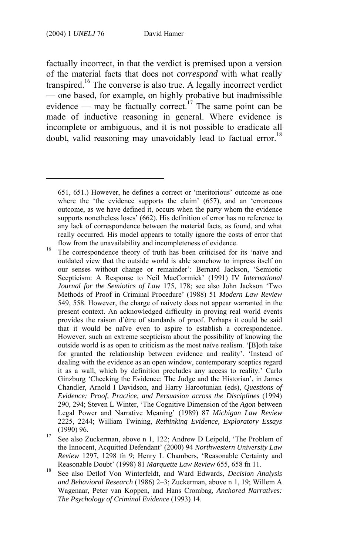$\overline{a}$ 

factually incorrect, in that the verdict is premised upon a version of the material facts that does not *correspond* with what really transpired.<sup>16</sup> The converse is also true. A legally incorrect verdict — one based, for example, on highly probative but inadmissible evidence — may be factually correct.<sup>17</sup> The same point can be made of inductive reasoning in general. Where evidence is incomplete or ambiguous, and it is not possible to eradicate all doubt, valid reasoning may unavoidably lead to factual error.<sup>18</sup>

- (1990) 96. (1990) 96. 17 See also Zuckerman, above n 1, 122; Andrew D Leipold, 'The Problem of the Innocent, Acquitted Defendant' (2000) 94 *Northwestern University Law Review* 1297, 1298 fn 9; Henry L Chambers, 'Reasonable Certainty and
- Reasonable Doubt' (1998) 81 *Marquette Law Review* 655, 658 fn 11. 18 See also Detlof Von Winterfeldt, and Ward Edwards, *Decision Analysis and Behavioral Research* (1986) 2–3; Zuckerman, above n 1, 19; Willem A Wagenaar, Peter van Koppen, and Hans Crombag, *Anchored Narratives: The Psychology of Criminal Evidence* (1993) 14.

<sup>651, 651.)</sup> However, he defines a correct or 'meritorious' outcome as one where the 'the evidence supports the claim' (657), and an 'erroneous outcome, as we have defined it, occurs when the party whom the evidence supports nonetheless loses' (662). His definition of error has no reference to any lack of correspondence between the material facts, as found, and what really occurred. His model appears to totally ignore the costs of error that

flow from the unavailability and incompleteness of evidence.<br><sup>16</sup> The correspondence theory of truth has been criticised for its 'naïve and outdated view that the outside world is able somehow to impress itself on our senses without change or remainder': Bernard Jackson, 'Semiotic Scepticism: A Response to Neil MacCormick' (1991) IV *International Journal for the Semiotics of Law* 175, 178; see also John Jackson 'Two Methods of Proof in Criminal Procedure' (1988) 51 *Modern Law Review* 549, 558. However, the charge of naivety does not appear warranted in the present context. An acknowledged difficulty in proving real world events provides the raison d'être of standards of proof. Perhaps it could be said that it would be naïve even to aspire to establish a correspondence. However, such an extreme scepticism about the possibility of knowing the outside world is as open to criticism as the most naïve realism. '[B]oth take for granted the relationship between evidence and reality'. 'Instead of dealing with the evidence as an open window, contemporary sceptics regard it as a wall, which by definition precludes any access to reality.' Carlo Ginzburg 'Checking the Evidence: The Judge and the Historian', in James Chandler, Arnold I Davidson, and Harry Harootunian (eds), *Questions of Evidence: Proof, Practice, and Persuasion across the Disciplines* (1994) 290, 294; Steven L Winter, 'The Cognitive Dimension of the *Agon* between Legal Power and Narrative Meaning' (1989) 87 *Michigan Law Review* 2225, 2244; William Twining, *Rethinking Evidence, Exploratory Essays*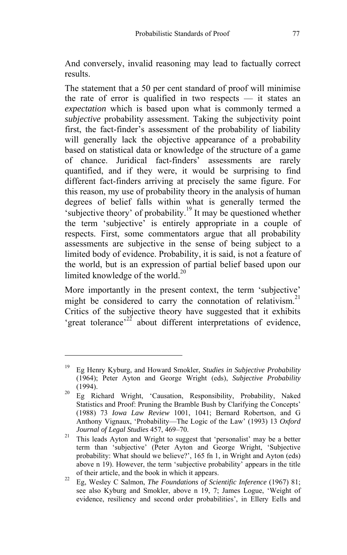And conversely, invalid reasoning may lead to factually correct results.

The statement that a 50 per cent standard of proof will minimise the rate of error is qualified in two respects — it states an *expectation* which is based upon what is commonly termed a *subjective* probability assessment. Taking the subject[ivi](#page-6-0)ty point first, the fact-finder's assessment of the probability of liability will generally lack the objective appearance of a probability based on statistical data or knowledge of the structure of a game of chance. Juridical fact-finders' assessments are rarely quantified, and if they were, it would be surprising to find different fact-finders arriving at precisely the sam[e fi](#page-6-1)gure. For this reason, my use of probability theory in the analysis of human degrees of belief falls within what is generally termed the 'subjective theory' of probability.<sup>19</sup> It may be questioned whether the term 'subjective' is entirely appropriate in a couple of respects. First, some commentators [ar](#page-6-2)gue that all probability assessments are subjective in the sense of being subject to a limited body of evidence. Probability, it is said, is not a feature of the world, but is an expression of partial belief based upon our limited knowledge of the world.<sup>20</sup>

More importantly in the present context, the term 'subjective' might be considered to carry the connotation of relativism.<sup>21</sup> Critics of the subjective theory have suggested that it exhibits 'great tolerance'<sup>22</sup> about different interpretations of evidence,

<span id="page-6-0"></span><sup>19</sup> Eg Henry Kyburg, and Howard Smokler, *Studies in Subjective Probability* (1964); Peter Ayton and George Wright (eds), *Subjective Probability*

<span id="page-6-1"></span><sup>(1994). 20</sup> Eg Richard Wright, 'Causation, Responsibility, Probability, Naked Statistics and Proof: Pruning the Bramble Bush by Clarifying the Concepts' (1988) 73 *Iowa Law Review* 1001, 1041; Bernard Robertson, and G Anthony Vignaux, 'Probability—The Logic of the Law' (1993) 13 *Oxford* 

*Journal of Legal Studies* 457, 469–70.<br><sup>21</sup> This leads Ayton and Wright to suggest that 'personalist' may be a better term than 'subjective' (Peter Ayton and George Wright, 'Subjective probability: What should we believe?', 165 fn 1, in Wright and Ayton (eds) above n 19). However, the term 'subjective probability' appears in the title of their article, and the book in which it appears. 22 Eg, Wesley C Salmon, *The Foundations of Scientific Inference* (1967) 81;

<span id="page-6-2"></span>see also Kyburg and Smokler, above n 19, 7; James Logue, 'Weight of evidence, resiliency and second order probabilities', in Ellery Eells and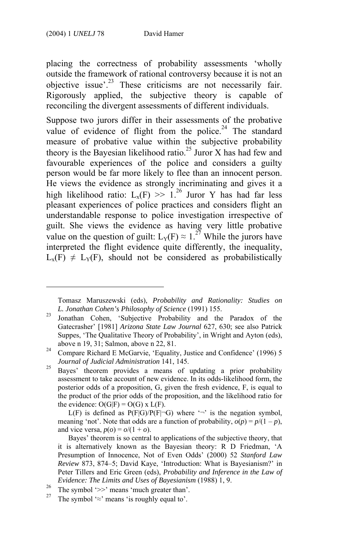$\overline{a}$ 

placing the correctness of probability assessments '[who](#page-7-0)lly outside the framework of rational controversy because it is not an objective issue'.<sup>23</sup> These criticisms are not necessarily fair. Rigorously applied, the subjective theory is capable of reconciling the divergent assessments of different indivi[dua](#page-7-1)ls.

Suppose two jurors differ in their assessments of the probative value of evidence of flight from the police.<sup>24</sup> The standard measure of probative value within the subjective probabi[lity](#page-7-2) theory is the Bayesian likelihood ratio.<sup>25</sup> Juror X has had few and favourable experiences of the police and considers a guilty person would be far more likely to flee than an innocent person. He views the evidence as strongly incriminating and gives it a high likelihood ratio:  $L_x(F) \gg 1.^{26}$  Juror Y has had far less pleasant experiences of police practices and considers flight an understandable response to police investigation irrespective of guilt. She views the evidence as having very little probative value on the question of guilt:  $L_Y(F) \approx 1.^{27}$  While the jurors have interpreted the flight evidence quite differently, the inequality,  $L_x(F) \neq L_y(F)$ , should not be considered as probabilistically

L(F) is defined as  $P(F|G)/P(F|\neg G)$  where ' $\neg$ ' is the negation symbol, meaning 'not'. Note that odds are a function of probability,  $o(p) = p/(1 - p)$ , and vice versa,  $p(o) = o/(1 + o)$ .

Tomasz Maruszewski (eds), *Probability and Rationality: Studies on* 

*L. Jonathan Cohen's Philosophy of Science* (1991) 155. 23 Jonathan Cohen, 'Subjective Probability and the Paradox of the Gatecrasher' [1981] *Arizona State Law Journal* 627, 630; see also Patrick Suppes, 'The Qualitative Theory of Probability', in Wright and Ayton (eds),

above n 19, 31; Salmon, above n 22, 81.<br><sup>24</sup> Compare Richard E McGarvie, 'Equality, Justice and Confidence' (1996) 5

<span id="page-7-0"></span>*Journal of Judicial Administration* 141, 145. 25 Bayes' theorem provides a means of updating a prior probability assessment to take account of new evidence. In its odds-likelihood form, the posterior odds of a proposition, G, given the fresh evidence, F, is equal to the product of the prior odds of the proposition, and the likelihood ratio for the evidence:  $O(G|F) = O(G) \times L(F)$ .

Bayes' theorem is so central to applications of the subjective theory, that it is alternatively known as the Bayesian theory: R D Friedman, 'A Presumption of Innocence, Not of Even Odds' (2000) 52 *Stanford Law Review* 873, 874–5; David Kaye, 'Introduction: What is Bayesianism?' in Peter Tillers and Eric Green (eds), *Probability and Inference in the Law of Evidence: The Limits and Uses of Bayesianism* (1988) 1, 9.<br><sup>26</sup> The symbol '>>' means 'much greater than'.

<span id="page-7-1"></span>

<span id="page-7-2"></span>The symbol ' $\approx$ ' means 'is roughly equal to'.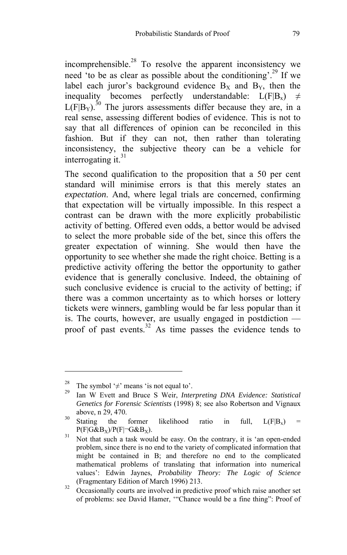incomprehensible. $^{28}$  To resolve the [a](#page-8-0)pparent inconsistency we need 'to be as clear as possible about the conditioning'.<sup>29</sup> If we label each juror's background evidence  $B_x$  and  $B_y$ , then the inequality becomes perfectly understandable:  $L(F|B_x) \neq$  $L(F|B_Y)$ <sup>30</sup> The jurors assessments differ because they are, in a real sense, assessing different bodies of evidence. This is not to say that all differences of opinion can be reconciled in this fashion. But if they can not, then rather than tolerating inconsistency, the subjective theory can be a vehicle for interrogating it. $31$ 

The second qualification to the proposition that a 50 per cent standard will minimise errors is that this merely states an *expectation*. And, where legal trials are concerned, confirming that expectation will be virtually impossible. In this respect a contrast can be drawn with the more explicitly probabilistic activity of betting. Offered even odds, a bettor would be advised to select the more probable side of the be[t, s](#page-8-1)ince this offers the greater expectation of winning. She would then have the opportunity to see whether she made the right choice. Betting is a predictive activity offering the bettor the opportunity to gather evidence that is generally conclusive. Indeed, the obtaining of such conclusive evidence is crucial to the activity of betting; if there was a common uncertainty as to which horses or lottery tickets were winners, gambling would be far less popular than it is. The courts, however, are usually engaged in postdiction proof of past events. $32$  As time passes the evidence tends to

<sup>28</sup> The symbol '≠' means 'is not equal to'. 29 Ian W Evett and Bruce S Weir, *Interpreting DNA Evidence: Statistical Genetics for Forensic Scientists* (1998) 8; see also Robertson and Vignaux

above, n 29, 470.<br>
Stating the former likelihood ratio in full,  $L(F|B_x) = P(F|G\&B_x)/P(F|\neg G\&B_x)$ .

<span id="page-8-0"></span> $P$ <sup>31</sup> Not that such a task would be easy. On the contrary, it is 'an open-ended problem, since there is no end to the variety of complicated information that might be contained in B; and therefore no end to the complicated mathematical problems of translating that information into numerical values': Edwin Jaynes, *Probability Theory: The Logic of Science* (Fragmentary Edition of March 1996) 213. 32 Occasionally courts are involved in predictive proof which raise another set

<span id="page-8-1"></span>of problems: see David Hamer, '"Chance would be a fine thing": Proof of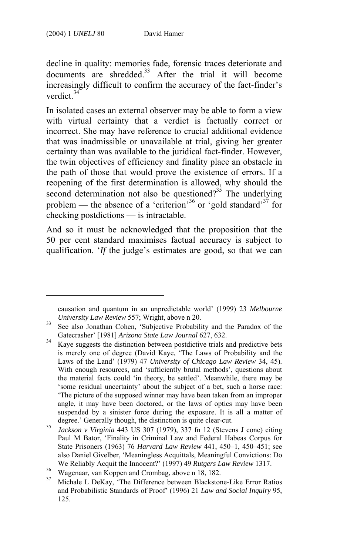$\overline{a}$ 

decline in quality: memories fade, forensic traces deteriorate and documents are shredded.<sup>33</sup> After the trial it will become increasingly difficult to confirm the accuracy of the fact-finder's verdict<sup>34</sup>

In isolated cases an external observer may be able to form a [vie](#page-9-0)w with virtual certainty that a verdict is factually correct or incorrect. She may have reference to crucial additional evidence that was inadmissible or unavailable at trial, giving her greater certainty than was available to the juridical fact-finder. However, the twin objectives of efficiency and finality place an obstacle in the path of those that would prove the existence of errors. If a reopening of the first determination is allowed, why should the second determination not also be questioned?<sup>35</sup> The underlying problem — the absence of a 'criterion'<sup>36</sup> or 'gold standard'<sup>37</sup> for checking postdictions — is intractable.

And so it must be acknowledged that the proposition that the 50 per cent standard maximises factual accuracy is subject to qualification. '*If* the judge's estimates are good, so that we can

causation and quantum in an unpredictable world' (1999) 23 *Melbourne University Law Review 557*; Wright, above n 20.<br><sup>33</sup> See also Jonathan Cohen, 'Subjective Probability and the Paradox of the

Gatecrasher' [1981] *Arizona State Law Journal* 627, 632.<br><sup>34</sup> Kaye suggests the distinction between postdictive trials and predictive bets is merely one of degree (David Kaye, 'The Laws of Probability and the Laws of the Land' (1979) 47 *University of Chicago Law Review* 34, 45). With enough resources, and 'sufficiently brutal methods', questions about the material facts could 'in theory, be settled'. Meanwhile, there may be 'some residual uncertainty' about the subject of a bet, such a horse race: 'The picture of the supposed winner may have been taken from an improper angle, it may have been doctored, or the laws of optics may have been suspended by a sinister force during the exposure. It is all a matter of

degree.' Generally though, the distinction is quite clear-cut. 35 *Jackson v Virginia* 443 US 307 (1979), 337 fn 12 (Stevens J conc) citing Paul M Bator, 'Finality in Criminal Law and Federal Habeas Corpus for State Prisoners (1963) 76 *Harvard Law Review* 441, 450–1, 450–451; see also Daniel Givelber, 'Meaningless Acquittals, Meaningful Convictions: Do We Reliably Acquit the Innocent?' (1997) 49 *Rutgers Law Review* 1317.<br><sup>36</sup> Wagenaar, van Koppen and Crombag, above n 18, 182.

<span id="page-9-0"></span>

<sup>37</sup> Michale L DeKay, 'The Difference between Blackstone-Like Error Ratios and Probabilistic Standards of Proof' (1996) 21 *Law and Social Inquiry* 95, 125.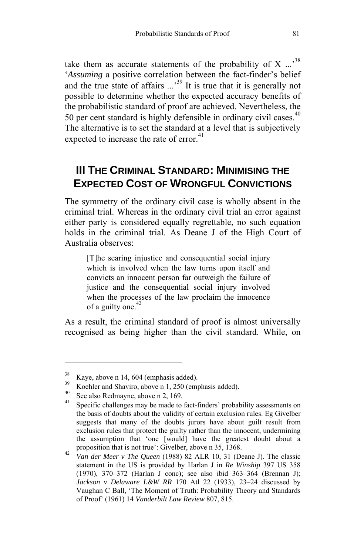take them as accurate statements of the probability of X  $\ldots$ <sup>38</sup> '*Assuming* a positive correlation between the fact-finder's belief and the true state of affairs  $\ldots$ <sup>39</sup> It is true that it is generally not possible to determine whether the expected accuracy benefits of the probabilistic standard of proof are achieved. Nevertheless, the 50 per cent standard is highly defensible in ordinary civil cases. $40$ The alternative is to set the standard at a level that is subjectively expected to increase the rate of error.<sup>41</sup>

# **III THE CRIMINAL STANDARD: MINIMISING THE EXPECTED COST OF WRONGFUL CONVICTIONS**

The symmetry of the ordinary civil case is wholly absent in the criminal trial. Whereas in the ordinary civil trial an error against either party is considered equally regre[ttab](#page-10-0)le, no such equation holds in the criminal trial. As Deane J of the High Court of Australia observes:

[T]he searing injustice and consequential social injury which is involved when the law turns upon itself and convicts an innocent person far outweigh the failure of justice and the consequential social injury involved when the processes of the law proclaim the innocence of a guilty one. $42$ 

As a result, the criminal standard of proof is almost universally recognised as being higher than the civil standard. While, on

 $\frac{38}{39}$  Kaye, above n 14, 604 (emphasis added).

<sup>&</sup>lt;sup>39</sup> Koehler and Shaviro, above n 1, 250 (emphasis added).<br><sup>40</sup> See also Redmayne, above n 2, 169.

Specific challenges may be made to fact-finders' probability assessments on the basis of doubts about the validity of certain exclusion rules. Eg Givelber suggests that many of the doubts jurors have about guilt result from exclusion rules that protect the guilty rather than the innocent, undermining the assumption that 'one [would] have the greatest doubt about a

<span id="page-10-0"></span>proposition that is not true': Givelber, above n 35, 1368. 42 *Van der Meer v The Queen* (1988) 82 ALR 10, 31 (Deane J). The classic statement in the US is provided by Harlan J in *Re Winship* 397 US 358 (1970), 370–372 (Harlan J conc); see also ibid 363–364 (Brennan J); *Jackson v Delaware L&W RR* 170 Atl 22 (1933), 23–24 discussed by Vaughan C Ball, 'The Moment of Truth: Probability Theory and Standards of Proof' (1961) 14 *Vanderbilt Law Review* 807, 815.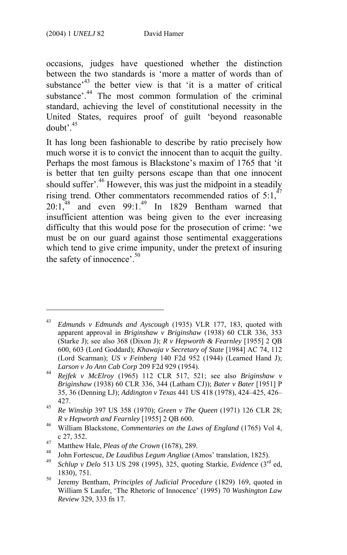$\overline{a}$ 

occasions, judges have questioned whether the distinction between the two standards is 'more a matter of words than of substance<sup> $43$ </sup> the better view is that 'it is a matter of critical substance'.<sup>44</sup> The most common [fo](#page-11-1)rmulation of the criminal standard, achieving the level of constitutional necessity in the United States, requires [pr](#page-11-2)oof of guilt 'b[eyo](#page-11-3)nd reasonable  $doubt'$ <sup>45</sup>

It has long been fashionable to describe by ratio precisely how much worse it is to convict the innocent than to acquit the guilty. Perhaps the most famous is Blackstone's ma[xim](#page-11-4) of 1765 that 'it is better that ten guilty persons escape than that one innocent should suffer<sup>'.46</sup> However, this was just the midpoint in a steadily rising trend. Other commentators recommended ratios of  $5:1,47$  $20:1^{48}$  and even 99:1.<sup>49</sup> In 1829 Bentham warned that insufficient attention was being given to the ever increasing difficulty that this would pose for the prosecution of crime: 'we must be on our guard against those sentimental exaggerations which tend to give crime impunity, under the pretext of insuring the safety of innocence'.<sup>50</sup>

<sup>43</sup> *Edmunds v Edmunds and Ayscough* (1935) VLR 177, 183, quoted with apparent approval in *Briginshaw v Briginshaw* (1938) 60 CLR 336, 353 (Starke J); see also 368 (Dixon J); *R v Hepworth & Fearnley* [1955] 2 QB 600, 603 (Lord Goddard); *Khawaja v Secretary of State* [1984] AC 74, 112 (Lord Scarman); *US v Feinberg* 140 F2d 952 (1944) (Learned Hand J);

*Larson v Jo Ann Cab Corp* 209 F2d 929 (1954). 44 *Rejfek v McElroy* (1965) 112 CLR 517, 521; see also *Briginshaw v Briginshaw* (1938) 60 CLR 336, 344 (Latham CJ)); *Bater v Bater* [1951] P 35, 36 (Denning LJ); *Addington v Texas* 441 US 418 (1978), 424–425, 426– 427. 45 *Re Winship* 397 US 358 (1970); *Green v The Queen* (1971) 126 CLR 28;

<span id="page-11-0"></span>

<span id="page-11-1"></span>*R v Hepworth and Fearnley* [1955] 2 QB 600. 46 William Blackstone, *Commentaries on the Laws of England* (1765) Vol 4, c 27, 352.<br>
Matthew Hale, *Pleas of the Crown* (1678), 289.<br>
John Fortescue, *De Laudibus Legum Angliae* (Amos' translation, 1825).<br>
Schlup v Delo 513 US 298 (1995), 325, quoting Starkie, *Evidence* (3<sup>rd</sup> ed,

<span id="page-11-2"></span>

<span id="page-11-3"></span><sup>1830), 751. 50</sup> Jeremy Bentham, *Principles of Judicial Procedure* (1829) 169, quoted in

<span id="page-11-4"></span>William S Laufer, 'The Rhetoric of Innocence' (1995) 70 *Washington Law Review* 329, 333 fn 17.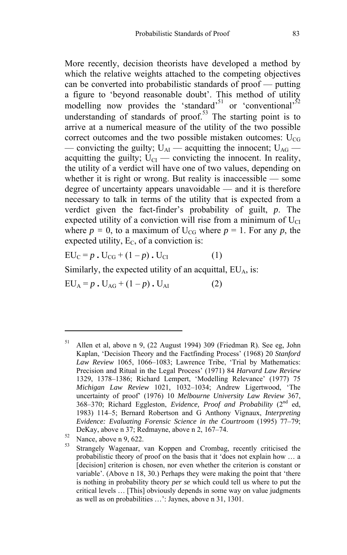More recently, decision theorists have developed a method by which the relative weights attached to the competing objectives can be converted into probabilistic standards of proof — putting a figure to 'beyond reasonable doubt'. This method of utility modelling now provides the 'standard'<sup>51</sup> or 'conventional'<sup>52</sup> understanding of standards of proof.<sup>53</sup> The starting point is to arrive at a numerical measure of the utility of the two possible correct outcomes and the two possible mistaken outcomes:  $U_{CG}$ — convicting the guilty;  $U_{\text{Al}}$  — acquitting the innocent;  $U_{\text{AG}}$  acquitting the guilty;  $U_{\text{CI}}$  — convicting the innocent. In reality, the utility of a verdict will have one of two values, depending on whether it is right or wrong. But reality is inaccessible — some degree of uncertainty appears unavoidable — and it is therefore necessary to talk in terms of the utility that is expected from a verdict given the fact-finder's probability of guilt, *p*. The expected utility of a conviction will rise from a minimum of  $U_{\text{CI}}$ where  $p = 0$ , to a maximum of U<sub>CG</sub> where  $p = 1$ . For any p, the expected utility,  $E_C$ , of a conviction is:

 $EU_C = p \cdot U_{CG} + (1-p) \cdot U_{CI}$  (1)

Similarly, the expected utility of an acquittal,  $EU<sub>A</sub>$ , is:

 $EU_A = p \cdot U_{AG} + (1-p) \cdot U_{AI}$  (2)

<sup>51</sup> Allen et al, above n 9, (22 August 1994) 309 (Friedman R). See eg, John Kaplan, 'Decision Theory and the Factfinding Process' (1968) 20 *Stanford Law Review* 1065, 1066–1083; Lawrence Tribe, 'Trial by Mathematics: Precision and Ritual in the Legal Process' (1971) 84 *Harvard Law Review* 1329, 1378–1386; Richard Lempert, 'Modelling Relevance' (1977) 75 *Michigan Law Review* 1021, 1032–1034; Andrew Ligertwood, 'The uncertainty of proof' (1976) 10 *Melbourne University Law Review* 367, 368–370; Richard Eggleston, *Evidence, Proof and Probability* (2nd ed, 1983) 114–5; Bernard Robertson and G Anthony Vignaux, *Interpreting Evidence: Evaluating Forensic Science in the Courtroom* (1995) 77–79; DeKay, above n 37; Redmayne, above n 2, 167–74.<br>
Nance, above n 9, 622.

Strangely Wagenaar, van Koppen and Crombag, recently criticised the probabilistic theory of proof on the basis that it 'does not explain how … a [decision] criterion is chosen, nor even whether the criterion is constant or variable'. (Above n 18, 30.) Perhaps they were making the point that 'there is nothing in probability theory *per se* which could tell us where to put the critical levels … [This] obviously depends in some way on value judgments as well as on probabilities …': Jaynes, above n 31, 1301.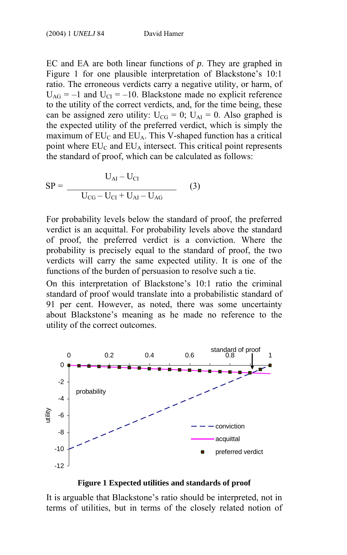EC and EA are both linear functions of *p*. They are graphed in Figure 1 for one plausible interpretation of Blackstone's 10:1 ratio. The erroneous verdicts carry a negative utility, or harm, of  $U_{AG} = -1$  and  $U_{CI} = -10$ . Blackstone made no explicit reference to the utility of the correct verdicts, and, for the time being, these can be assigned zero utility:  $U_{CG} = 0$ ;  $U_{AI} = 0$ . Also graphed is the expected utility of the preferred verdict, which is simply the maximum of  $EU_C$  and  $EU_A$ . This V-shaped function has a critical point where  $EU_C$  and  $EU_A$  intersect. This critical point represents the standard of proof, which can be calculated as follows:

$$
SP = \frac{U_{AI} - U_{CI}}{U_{CG} - U_{CI} + U_{AI} - U_{AG}}
$$
 (3)

For probability levels below the standard of proof, the preferred verdict is an acquittal. For probability levels above the standard of proof, the preferred verdict is a conviction. Where the probability is precisely equal to the standard of proof, the two verdicts will carry the same expected utility. It is one of the functions of the burden of persuasion to resolve such a tie.

On this interpretation of Blackstone's 10:1 ratio the criminal standard of proof would translate into a probabilistic standard of 91 per cent. However, as noted, there was some uncertainty about Blackstone's meaning as he made no reference to the utility of the correct outcomes.



#### **Figure 1 Expected utilities and standards of proof**

It is arguable that Blackstone's ratio should be interpreted, not in terms of utilities, but in terms of the closely related notion of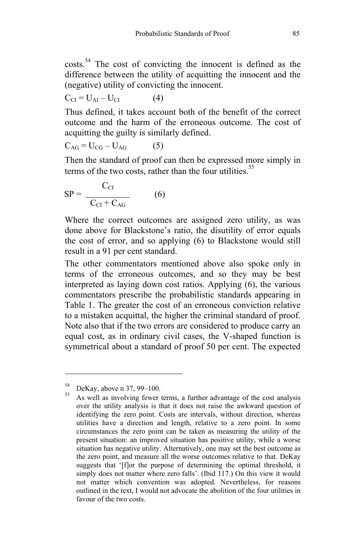costs.54 The cost of convicting the innocent is defined as the difference between the utility of acquitting the innocent and the (negative) utility of convicting the innocent.

 $C_{\text{CI}} = U_{\text{AI}} - U_{\text{CI}}$  (4)

Thus defined, it takes account both of the benefit of the correct outcome and the harm of the erroneous outcome. The cost of acquitting the guilty is similarly defined.

 $C_{AG} = U_{CG} - U_{AG}$  (5)

Then the standard of proof can then be expressed more simply in terms of the two costs, rather than the four utilities. $55$ 

$$
SP = \frac{C_{CI}}{C_{CI} + C_{AG}}
$$
 (6)

Where the correct outcomes are assigned zero utility, as was done above for Blackstone's ratio, the disutility of error equals the cost of error, and so applying (6) to Blackstone would still result in a 91 per cent standard.

The other commentators mentioned above also spoke only in terms of the erroneous outcomes, and so they may be best interpreted as laying down cost ratios. Applying (6), the various commentators prescribe the probabilistic standards appearing in Table 1. The greater the cost of an erroneous conviction relative to a mistaken acquittal, the higher the criminal standard of proof. Note also that if the two errors are considered to produce carry an equal cost, as in ordinary civil cases, the V-shaped function is symmetrical about a standard of proof 50 per cent. The expected

 $54$  DeKay, above n 37, 99–100.

As well as involving fewer terms, a further advantage of the cost analysis over the utility analysis is that it does not raise the awkward question of identifying the zero point. Costs are intervals, without direction, whereas utilities have a direction and length, relative to a zero point. In some circumstances the zero point can be taken as measuring the utility of the present situation: an improved situation has positive utility, while a worse situation has negative utility. Alternatively, one may set the best outcome as the zero point, and measure all the worse outcomes relative to that. DeKay suggests that '[f]or the purpose of determining the optimal threshold, it simply does not matter where zero falls'. (Ibid 117.) On this view it would not matter which convention was adopted. Nevertheless, for reasons outlined in the text, I would not advocate the abolition of the four utilities in favour of the two costs.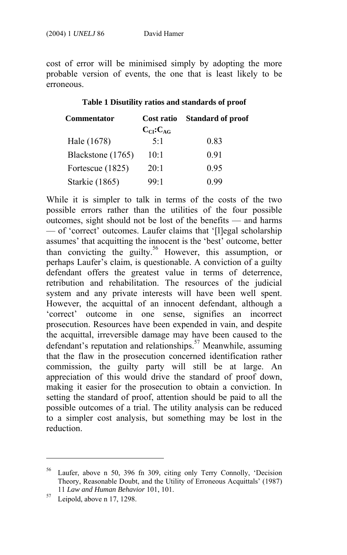cost of error will be minimised simply by adopting the more probable version of events, the one that is least likely to be erroneous.

#### **Table 1 Disutility ratios and standards of proof**

| <b>Commentator</b> | Cost ratio      | <b>Standard of proof</b> |
|--------------------|-----------------|--------------------------|
|                    | $C_{CI}:C_{AG}$ |                          |
| Hale (1678)        | $5-1$           | 0.83                     |
| Blackstone (1765)  | 10:1            | 0.91                     |
| Fortescue (1825)   | 20:1            | 0.95                     |
| Starkie (1865)     | $99-1$          | () 99                    |

While it is simpler to talk in terms of the costs of the two possible errors rather than the utilities of the four possible outcomes, sight should not be lost of the benefits — and harms — of 'correct' outcomes. Laufer claims that '[l]egal scholarship assumes' that acquitting the innocent is the 'best' outcome, better than c[o](#page-15-0)nvicting the guilty.<sup>56</sup> However, this assumption, or perhaps Laufer's claim, is questionable. A conviction of a guilty defendant offers the greatest value in terms of deterrence, retribution and rehabilitation. The resources of the judicial system and any private interests will have been well spent. However, the acquittal of an innocent defendant, although a 'correct' outcome in one sense, signifies an incorrect prosecution. Resources have been expended in vain, and despite the acquittal, irreversible damage may have been caused to the defendant's reputation and relationships.<sup>57</sup> Meanwhile, assuming that the flaw in the prosecution concerned identification rather commission, the guilty party will still be at large. An appreciation of this would drive the standard of proof down, making it easier for the prosecution to obtain a conviction. In setting the standard of proof, attention should be paid to all the possible outcomes of a trial. The utility analysis can be reduced to a simpler cost analysis, but something may be lost in the reduction.

<sup>56</sup> Laufer, above n 50, 396 fn 309, citing only Terry Connolly, 'Decision Theory, Reasonable Doubt, and the Utility of Erroneous Acquittals' (1987) <sup>11</sup>*Law and Human Behavior* 101, 101. 57 Leipold, above n 17, 1298.

<span id="page-15-0"></span>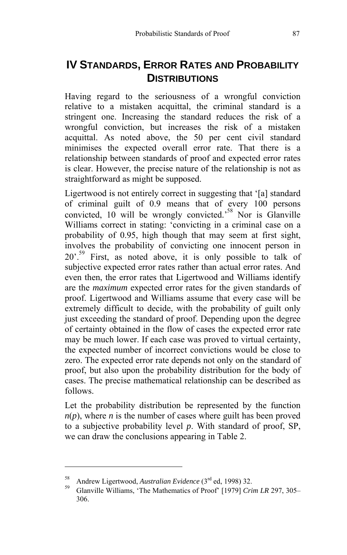# **IV STANDARDS, ERROR RATES AND PROBABILITY DISTRIBUTIONS**

Having regard to the seriousness of a wrongful conviction relative to a mistaken acquittal, the criminal standard is a stringent one. Increasing the standard reduces the risk of a wrongful conviction, but increases the risk of a mistaken acquittal. As noted above, the 50 per cent civil standard minimises the expected overall error rate. That there is a relationship between standards of proof and expected error rates is clear. However, the pr[eci](#page-16-0)se nature of the relationship is not as straightforward as might be supposed.

Ligertwood is not entirely correct in suggesting that '[a] standard of criminal guilt of 0.9 means that of every 100 persons convicted,  $10$  will be wrongly convicted.<sup>58</sup> Nor is Glanville Williams correct in stating: 'convicting in a criminal case on a probability of 0.95, high though that may seem at first sight, involves the probability of convicting one innocent person in 20'.<sup>59</sup> First, as noted above, it is only possible to talk of subjective expected error rates rather than actual error rates. And even then, the error rates that Ligertwood and Williams identify are the *maximum* expected error rates for the given standards of proof. Ligertwood and Williams assume that every case will be extremely difficult to decide, with the probability of guilt only just exceeding the standard of proof. Depending upon the degree of certainty obtained in the flow of cases the expected error rate may be much lower. If each case was proved to virtual certainty, the expected number of incorrect convictions would be close to zero. The expected error rate depends not only on the standard of proof, but also upon the probability distribution for the body of cases. The precise mathematical relationship can be described as follows.

Let the probability distribution be represented by the function  $n(p)$ , where *n* is the number of cases where guilt has been proved to a subjective probability level *p*. With standard of proof, SP, we can draw the conclusions appearing in Table 2.

<span id="page-16-0"></span>

<sup>58</sup> Andrew Ligertwood, *Australian Evidence* (3rd ed, 1998) 32. 59 Glanville Williams, 'The Mathematics of Proof' [1979] *Crim LR* 297, 305– 306.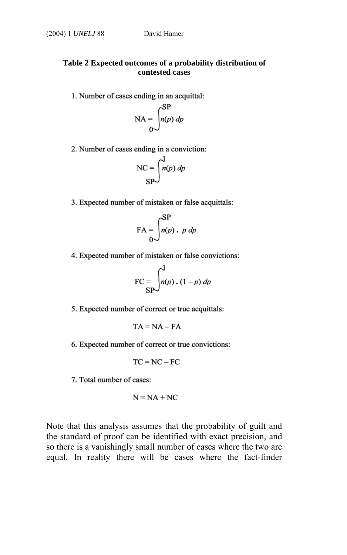#### **Table 2 Expected outcomes of a probability distribution of contested cases**

1. Number of cases ending in an acquittal:

$$
NA = \int_{0}^{SP} n(p) \, dp
$$

2. Number of cases ending in a conviction:

$$
NC = \int_{SP}^{1} n(p) \, dp
$$

3. Expected number of mistaken or false acquittals:

$$
\text{FA} = \int_{0}^{\text{SP}} n(p) \cdot p \, dp
$$

4. Expected number of mistaken or false convictions:

$$
\text{FC} = \int_{\text{SP}}^{1} n(p) \cdot (1-p) \, dp
$$

5. Expected number of correct or true acquittals:

$$
TA = NA - FA
$$

6. Expected number of correct or true convictions:

$$
TC = NC - FC
$$

7. Total number of cases:

$$
N = NA + NC
$$

Note that this analysis assumes that the probability of guilt and the standard of proof can be identified with exact precision, and so there is a vanishingly small number of cases where the two are equal. In reality there will be cases where the fact-finder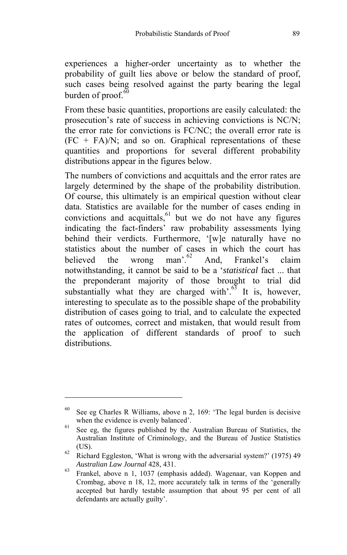experiences a higher-order uncertainty as to whether the probability of guilt lies above or below the standard of proof, such cases being resolved against the party bearing the legal burden of proof. $60$ 

From these basic quantities, proportions are easily calculated: the prosecution's rate of success in achieving conv[ict](#page-18-0)ions is NC/N; the error rate for convictions is FC/NC; the overall error rate is  $(FC + FA)/N$ ; and so on. Graphical representations of these quantities and proportions for several different probability distributions appear in the figures below.

The numbers of convictions and acquittals and the error rates are largely determined by the shape of the probability distribution. Of course, this ultimately is an empirical question without clear data. Statistics are available for the number of cases ending in convictions and acquittals, <sup>61</sup> but we do not have any figures indicating the fact-finders' raw probability assessments lying behind their verdicts. Furthermore, '[w]e naturally have no statistics about the number of cases in which the court has believed the wrong man'.<sup>62</sup> And, Frankel's claim notwithstanding, it cannot be said to be a '*statistical* fact ... that the preponderant majority of those brought to trial did substantially what they are charged with'. $63$  It is, however, interesting to speculate as to the possible shape of the probability distribution of cases going to trial, and to calculate the expected rates of outcomes, correct and mistaken, that would result from the application of different standards of proof to such distributions.

 $60$  See eg Charles R Williams, above n 2, 169: 'The legal burden is decisive

<span id="page-18-0"></span>when the evidence is evenly balanced'.<br><sup>61</sup> See eg, the figures published by the Australian Bureau of Statistics, the Australian Institute of Criminology, and the Bureau of Justice Statistics (US). 62 Richard Eggleston, 'What is wrong with the adversarial system?' (1975) 49

*Australian Law Journal* 428, 431. 63 Frankel, above n 1, 1037 (emphasis added). Wagenaar, van Koppen and Crombag, above n 18, 12, more accurately talk in terms of the 'generally accepted but hardly testable assumption that about 95 per cent of all defendants are actually guilty'.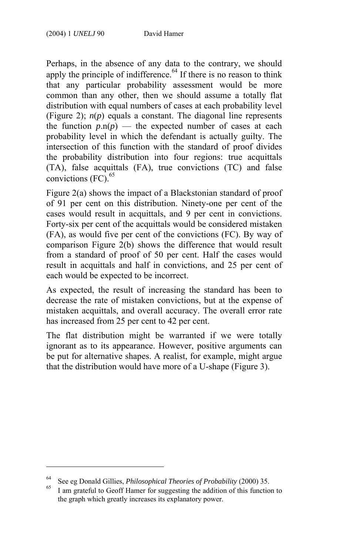Perhaps, in the absence of any data to the contrary, we should apply the principle of indifference. $64$  If there is no reason to think that any particular probability ass[ess](#page-19-0)ment would be more common than any other, then we should assume a totally flat distribution with equal numbers of cases at each probability level (Figure 2); *n*(*p*) equals a constant. The diagonal line represents the function  $p.n(p)$  — the expected number of cases at each probability level in which the defendant is actually guilty. The intersection of this function with the standard of proof divides the probability distribution into four regions: true acquittals (TA), false acquittals (FA), true convictions (TC) and false convictions  $(FC)$ .<sup>65</sup>

Figure 2(a) shows the impact of a Blackstonian standard of proof of 91 per cent on this distribution. Ninety-one per cent of the cases would result in acquittals, and 9 per cent in convictions. Forty-six per cent of the acquittals would be considered mistaken (FA), as would five per cent of the convictions (FC). By way of comparison Figure 2(b) shows the difference that would result from a standard of proof of 50 per cent. Half the cases would result in acquittals and half in convictions, and 25 per cent of each would be expected to be incorrect.

As expected, the result of increasing the standard has been to decrease the rate of mistaken convictions, but at the expense of mistaken acquittals, and overall accuracy. The overall error rate has increased from 25 per cent to 42 per cent.

The flat distribution might be warranted if we were totally ignorant as to its appearance. However, positive arguments can be put for alternative shapes. A realist, for example, might argue that the distribution would have more of a U-shape (Figure 3).

<sup>64</sup> See eg Donald Gillies, *Philosophical Theories of Probability* (2000) 35. 65 I am grateful to Geoff Hamer for suggesting the addition of this function to

<span id="page-19-0"></span>the graph which greatly increases its explanatory power.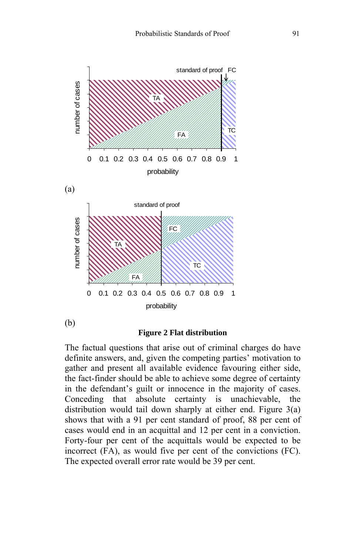

#### **Figure 2 Flat distribution**

The factual questions that arise out of criminal charges do have definite answers, and, given the competing parties' motivation to gather and present all available evidence favouring either side, the fact-finder should be able to achieve some degree of certainty in the defendant's guilt or innocence in the majority of cases. Conceding that absolute certainty is unachievable, the distribution would tail down sharply at either end. Figure 3(a) shows that with a 91 per cent standard of proof, 88 per cent of cases would end in an acquittal and 12 per cent in a conviction. Forty-four per cent of the acquittals would be expected to be incorrect (FA), as would five per cent of the convictions (FC). The expected overall error rate would be 39 per cent.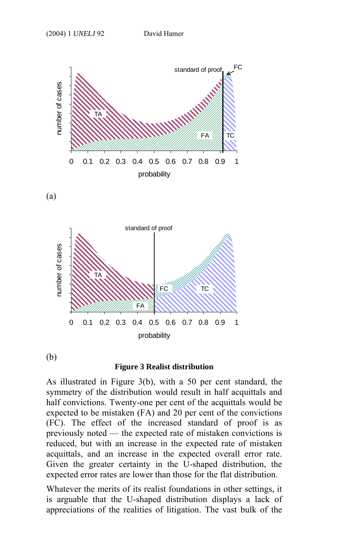

(a)



(b)

#### **Figure 3 Realist distribution**

As illustrated in Figure 3(b), with a 50 per cent standard, the symmetry of the distribution would result in half acquittals and half convictions. Twenty-one per cent of the acquittals would be expected to be mistaken (FA) and 20 per cent of the convictions (FC). The effect of the increased standard of proof is as previously noted — the expected rate of mistaken convictions is reduced, but with an increase in the expected rate of mistaken acquittals, and an increase in the expected overall error rate. Given the greater certainty in the U-shaped distribution, the expected error rates are lower than those for the flat distribution.

Whatever the merits of its realist foundations in other settings, it is arguable that the U-shaped distribution displays a lack of appreciations of the realities of litigation. The vast bulk of the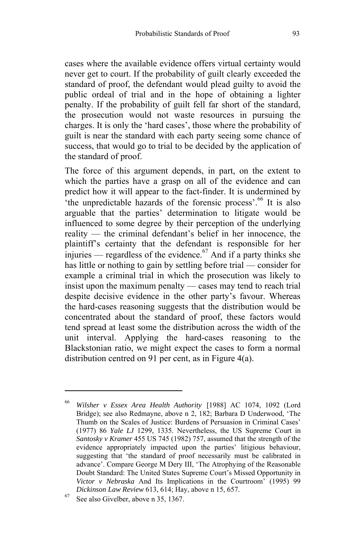cases where the available evidence offers virtual certainty would never get to court. If the probability of guilt clearly exceeded the standard of proof, the defendant would plead guilty to avoid the public ordeal of trial and in the hope of obtaining a lighter penalty. If the probability of guilt fell far short of the standard, the prosecution would not waste resources in pursuing the charges. It is only the 'hard cases', those where the probability of guilt is near the standard with each party seeing some chance of success, that would go to trial to be decided by the application of the standard of proof.

The force of this argument depends, in part, on the extent to which the parties have a grasp on all of the evidence and can predict how it will appear to the fact-finder. It is undermined by <sup>1</sup>the unpredictable hazards of the forensic process'.<sup>66</sup> It is also arguable that the parties' determination to litigate would be influenced to some degree by their perception of the underlying reality — the criminal defendant's belief in her innocence, the plaintiff's certainty that the defendant is responsible for her injuries — regardless of the evidence.<sup>67</sup> And if a party thinks she has little or nothing to gain by settling before trial — consider for example a criminal trial in which the prosecution was likely to insist upon the maximum penalty — cases may tend to reach trial despite decisive evidence in the other party's favour. Whereas the hard-cases reasoning suggests that the distribution would be concentrated about the standard of proof, these factors would tend spread at least some the distribution across the width of the unit interval. Applying the hard-cases reasoning to the Blackstonian ratio, we might expect the cases to form a normal distribution centred on 91 per cent, as in Figure 4(a).

<sup>66</sup> *Wilsher v Essex Area Health Authority* [1988] AC 1074, 1092 (Lord Bridge); see also Redmayne, above n 2, 182; Barbara D Underwood, 'The Thumb on the Scales of Justice: Burdens of Persuasion in Criminal Cases' (1977) 86 *Yale LJ* 1299, 1335. Nevertheless, the US Supreme Court in *Santosky v Kramer* 455 US 745 (1982) 757, assumed that the strength of the evidence appropriately impacted upon the parties' litigious behaviour, suggesting that 'the standard of proof necessarily must be calibrated in advance'. Compare George M Dery III, 'The Atrophying of the Reasonable Doubt Standard: The United States Supreme Court's Missed Opportunity in *Victor v Nebraska* And Its Implications in the Courtroom' (1995) 99 *Dickinson Law Review* 613, 614; Hay, above n 15, 657. See also Givelber, above n 35, 1367.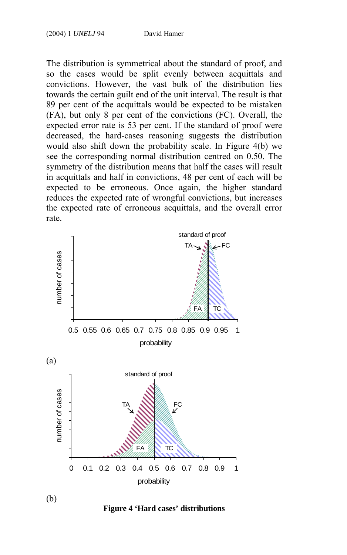The distribution is symmetrical about the standard of proof, and so the cases would be split evenly between acquittals and convictions. However, the vast bulk of the distribution lies towards the certain guilt end of the unit interval. The result is that 89 per cent of the acquittals would be expected to be mistaken (FA), but only 8 per cent of the convictions (FC). Overall, the expected error rate is 53 per cent. If the standard of proof were decreased, the hard-cases reasoning suggests the distribution would also shift down the probability scale. In Figure 4(b) we see the corresponding normal distribution centred on 0.50. The symmetry of the distribution means that half the cases will result in acquittals and half in convictions, 48 per cent of each will be expected to be erroneous. Once again, the higher standard reduces the expected rate of wrongful convictions, but increases the expected rate of erroneous acquittals, and the overall error rate.



**Figure 4 'Hard cases' distributions**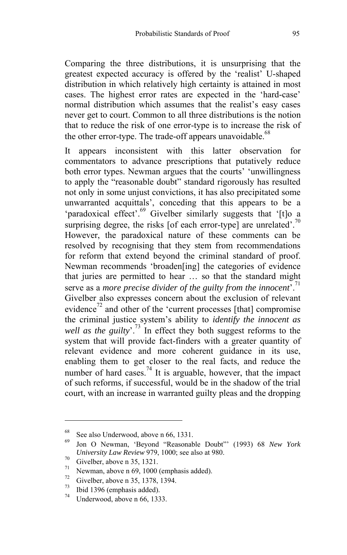Comparing the three distributions, it is unsurprising that the greatest expected accuracy is offered by the 'realist' U-shaped distribution in which relatively high certainty is attained in most cases. The highest error rates are expected in the 'hard-case' normal distribution which assumes that the realist's easy cases never get to court. Common to all three d[istr](#page-24-0)ibutions is the notion that to reduce the risk of one error-type is to increase the risk of the other error-type. The trade-off appears unavoidable.<sup>68</sup>

It appears inconsistent with this latter observation for commentators to advance prescriptions that putatively reduce both error types. Newman argues that the courts' 'unwillingness to apply the "reasonable doubt" standard rigorously has resulted not only in some unjust convictions, it has also precipitated some unwarranted acquittals', conceding that this appears to be a 'paradoxical effect'.<sup>69</sup> Givel[ber](#page-24-1) similarly suggests that '[t]o a surprising degree, the risks [of each error-type] are unrelated'.<sup>70</sup> However, the paradoxical nature of [the](#page-24-2)se comments can be resolved by recognising that they stem from recommendations for reform that extend beyond the criminal standard of proof. Newman recommends 'broaden[ing] the categories of evidence that juries are permitted to hear … so th[at](#page-24-3) the standard might serve as a *more precise divider of the guilty from the innocent*<sup>'.<sup>71</sup></sup> Givelber also expresses concern about the exclusion of relevant evidence<sup>72</sup> and other of the 'current processes [that] compromise the criminal justice system's ability to *identify the innocent as well as the guilty*'.73 In effect they both suggest reforms to the system that will provide fact-finders with a greater quantity of relevant evidence and more coherent guidance in its use, enabling them to get closer to the real facts, and reduce the number of hard cases.<sup>74</sup> It is arguable, however, that the impact of such reforms, if successful, would be in the shadow of the trial court, with an increase in warranted guilty pleas and the dropping

 $^{68}$  See also Underwood, above n 66, 1331.

<span id="page-24-0"></span><sup>69</sup> Jon O Newman, 'Beyond "Reasonable Doubt"' (1993) 68 *New York University Law Review* 979, 1000; see also at 980.<br><sup>70</sup> Givelber, above n 35, 1321.

<sup>&</sup>lt;sup>71</sup> Newman, above n 69, 1000 (emphasis added).

<span id="page-24-1"></span> $^{72}$  Givelber, above n 35, 1378, 1394.

<span id="page-24-2"></span> $^{73}$  Ibid 1396 (emphasis added).

<span id="page-24-3"></span>Underwood, above n 66, 1333.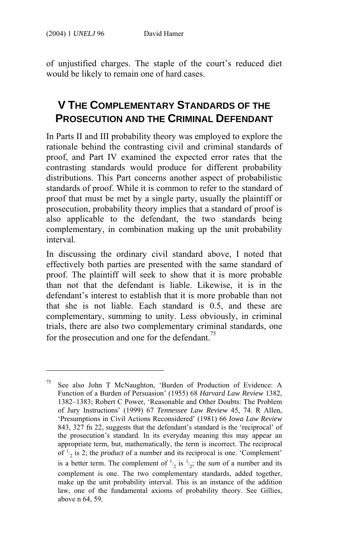$\overline{a}$ 

of unjustified charges. The staple of the court's reduced diet would be likely to remain one of hard cases.

# **V THE COMPLEMENTARY STANDARDS OF THE PROSECUTION AND THE CRIMINAL DEFENDANT**

In Parts II and III probability theory was employed to explore the rationale behind the contrasting civil and criminal standards of proof, and Part IV examined the expected error rates that the contrasting standards would produce for different probability distributions. This Part concerns another aspect of probabilistic standards of proof. While it is common to refer to the standard of proof that must be met by a single party, usually the plaintiff or prosecution, probability theory implies that a standard of proof is also applicable to the defendant, the two standards being complementary, in combination making up the unit probability interval.

In discussing the ordinary civil standard above, I noted that effectively both parties are presented with the same standard of proof. The plaintiff will seek to show that it is more probable than not that the defendant is liable. Likewise, it is in the defendant's interest to establish that it is more probable than not that she is not liable. Each standard is 0.5, and these are complementary, summing to unity. Less obviously, in criminal trials, there are also two complementary criminal standards, one for the prosecution and one for the defendant.<sup>75</sup>

<sup>75</sup> See also John T McNaughton, 'Burden of Production of Evidence: A Function of a Burden of Persuasion' (1955) 68 *Harvard Law Review* 1382, 1382–1383; Robert C Power, 'Reasonable and Other Doubts: The Problem of Jury Instructions' (1999) 67 *Tennessee Law Review* 45, 74. R Allen, 'Presumptions in Civil Actions Reconsidered' (1981) 66 *Iowa Law Review* 843, 327 fn 22, suggests that the defendant's standard is the 'reciprocal' of the prosecution's standard. In its everyday meaning this may appear an appropriate term, but, mathematically, the term is incorrect. The reciprocal of  $\frac{1}{2}$  is 2; the *product* of a number and its reciprocal is one. 'Complement' is a better term. The complement of  $\frac{1}{2}$  is  $\frac{1}{2}$ ; the *sum* of a number and its complement is one. The two complementary standards, added together, make up the unit probability interval. This is an instance of the addition law, one of the fundamental axioms of probability theory. See Gillies, above n 64, 59.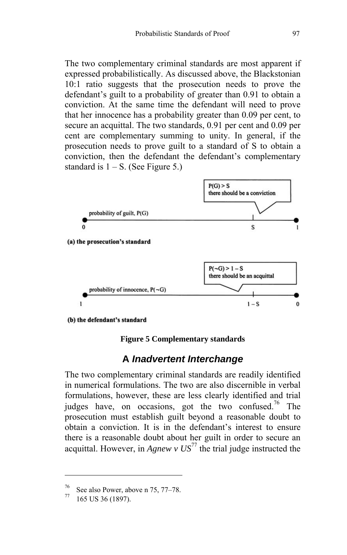The two complementary criminal standards are most apparent if expressed probabilistically. As discussed above, the Blackstonian 10:1 ratio suggests that the prosecution needs to prove the defendant's guilt to a probability of greater than 0.91 to obtain a conviction. At the same time the defendant will need to prove that her innocence has a probability greater than 0.09 per cent, to secure an acquittal. The two standards, 0.91 per cent and 0.09 per cent are complementary summing to unity. In general, if the prosecution needs to prove guilt to a standard of S to obtain a conviction, then the defendant the defendant's complementary standard is  $1 - S$ . (See Figure 5.)



#### **Figure 5 Complementary standards**

## **A** *Inadvertent Interchange*

The two complementary criminal standards are readily identified in numerical formulations. The two are also discernible in verbal formulations, however, these are less clearly identified and trial judges have, on occasions, got the two confused.<sup>76</sup> The prosecution must establish guilt beyond a reasonable doubt to obtain a conviction. It is in the defendant's interest to ensure there is a reasonable doubt about her guilt in order to secure an acquittal. However, in  $A$ *gnew v US*<sup>77</sup> the trial judge instructed the

See also Power, above n 75, 77–78.<br>165 US 36 (1897).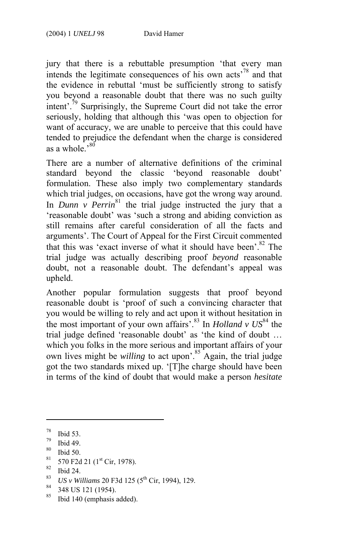jury that there is a rebuttable presumption 'that every man intends the legitimate consequences of his own acts'78 and that the evidence in rebuttal 'must be sufficiently strong to satisfy you beyond a reasonable doubt that there was no such guilty intent'.<sup>79</sup> Surprisingly, the Supreme Court did not take the error seriously, holding that although this '[was](#page-27-0) open to objection for want of accuracy, we are unable to perceive that this could have tended to prejudice the defendant when the charge is considered as a whole.<sup>380</sup>

There are a number of alternative definitions of the criminal standard beyond the classic 'beyond reasonable doubt' formulation. These also imply two complementary standards which trial judges, on occasions, have got the wrong way around. In *Dunn v Perrin*<sup>81</sup> the trial judge instructed the jury that a 'reasonable doubt' was 'such a strong and abiding conviction as still remains after careful consideration of all the facts [an](#page-27-1)d arguments'. The Court of Appeal for the First Circuit commented that this was 'exact inverse of what it should have been'. $82$  The trial judge was actually describing proof *beyond* reason[abl](#page-27-2)e doubt, not a reasonable doubt. The defendant's appeal was upheld.

Another popular formulation suggests that proof beyond reasonable doubt is 'proof of such a convincing character that you would be willing to rely and act upon it without hesitation in the most important of your own affairs<sup>'.83</sup> In *Holland v US*<sup>84</sup> the trial judge defined 'reasonable doubt' as 'the kind of doubt … which you folks in the more serious and important affairs of your own lives might be *willing* to act upon<sup>2</sup>.<sup>85</sup> Again, the trial judge got the two standards mixed up. '[T]he charge should have been in terms of the kind of doubt that would make a person *hesitate* 

- 
- <span id="page-27-1"></span>83 US v Williams 20 F3d 125 (5<sup>th</sup> Cir, 1994), 129.<br><sup>84</sup> 348 US 121 (1954).<br><sup>85</sup> Bidd 140 (sundational)
- 
- <span id="page-27-2"></span>Ibid 140 (emphasis added).

 $\frac{78}{79}$  Ibid 53.

 $^{79}$  Ibid 49.

 $\frac{80}{81}$  Ibid 50.

<span id="page-27-0"></span> $\frac{81}{82}$  570 F2d 21 (1<sup>st</sup> Cir, 1978).<br>
Bid 24.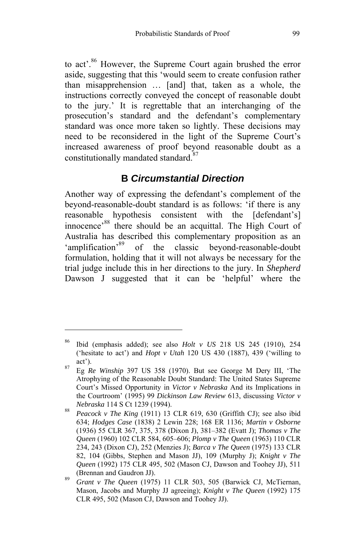to act<sup>36</sup> However, [the](#page-28-0) Supreme Court again brushed the error aside, suggesting that this 'would seem to create confusion rather than misapprehension … [and] that, taken as a whole, the instructions correctly conveyed the concept of reasonable doubt to the jury.' It is regrettable that an interchanging of the prosecution's standard and the defendant's complementary standard was once more taken so lightly. These decisions may need to be reconsidered in t[he](#page-28-1) light of the Supreme Court's increased awareness of proof beyond reasonable doubt as a constitutionally mandated standard.[87](#page-28-2)

## **B** *Circumstantial Direction*

Another way of expressing the defendant's complement of the beyond-reasonable-doubt standard is as follows: 'if there is any reasonable hypothesis consistent with the [defendant's] innocence<sup>88</sup> there should be an acquittal. The High Court of Australia has described this complementary proposition as an 'amplification'<sup>89</sup> of the classic beyond-reasonable-doubt formulation, holding that it will not always be necessary for the trial judge include this in her directions to the jury. In *Shepherd*  Dawson J suggested that it can be 'helpful' where the

<sup>86</sup> Ibid (emphasis added); see also *Holt v US* 218 US 245 (1910), 254 ('hesitate to act') and *Hopt v Utah* 120 US 430 (1887), 439 ('willing to act'). 87 Eg *Re Winship* 397 US 358 (1970). But see George M Dery III, 'The

<span id="page-28-0"></span>Atrophying of the Reasonable Doubt Standard: The United States Supreme Court's Missed Opportunity in *Victor v Nebraska* And its Implications in the Courtroom' (1995) 99 *Dickinson Law Review* 613, discussing *Victor v Nebraska* 114 S Ct 1239 (1994). 88 *Peacock v The King* (1911) 13 CLR 619, 630 (Griffith CJ); see also ibid

<span id="page-28-1"></span><sup>634;</sup> *Hodges Case* (1838) 2 Lewin 228; 168 ER 1136; *Martin v Osborne* (1936) 55 CLR 367, 375, 378 (Dixon J), 381–382 (Evatt J); *Thomas v The Queen* (1960) 102 CLR 584, 605–606; *Plomp v The Queen* (1963) 110 CLR 234, 243 (Dixon CJ), 252 (Menzies J); *Barca v The Queen* (1975) 133 CLR 82, 104 (Gibbs, Stephen and Mason JJ), 109 (Murphy J); *Knight v The Queen* (1992) 175 CLR 495, 502 (Mason CJ, Dawson and Toohey JJ), 511 (Brennan and Gaudron JJ). 89 *Grant v The Queen* (1975) 11 CLR 503, 505 (Barwick CJ, McTiernan,

<span id="page-28-2"></span>Mason, Jacobs and Murphy JJ agreeing); *Knight v The Queen* (1992) 175 CLR 495, 502 (Mason CJ, Dawson and Toohey JJ).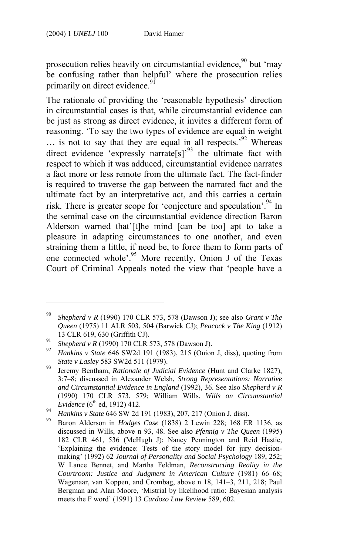$\overline{a}$ 

prosecution relies heavily on circumstantial evidence.<sup>90</sup> but ['m](#page-29-0)ay be confusing rather than helpful' where the prosecution relies primarily on direct evidence.<sup>91</sup>

The rationale of providing the 'reasonable hypothesis' direction in circumstantial cases is that, while circumstantial evidence can be just as strong as direct evidence, it invites a different form of reasoning. 'To say the two types of evidence are equal in weight … is not to say that they are equal in all respects.'92 Whereas direct evidence 'expressly narrate[s]<sup>93</sup> the ultimate fact with respect to which it was adduced, circumstan[tia](#page-29-1)l evidence narrates a fact more or less remote from the ultimate fact. The fact-finder is required to traverse the gap between the narrated fact and the ultimate fact by an interpretative act, and this carries a certain risk. There is greater scope for 'conjecture and speculation'.<sup>94</sup> In the seminal case on the circumstantial evidence direction Baron Alderson warned that'[t]he mind [can be too] apt to take a pleasure in adapting circumstances to one another, and even straining them a little, if need be, to force them to form parts of one connected whole'.95 More recently, Onion J of the Texas Court of Criminal Appeals noted the view that 'people have a

<sup>90</sup> *Shepherd v R* (1990) 170 CLR 573, 578 (Dawson J); see also *Grant v The Queen* (1975) 11 ALR 503, 504 (Barwick CJ); *Peacock v The King* (1912) 13 CLR 619, 630 (Griffith CJ). 91 *Shepherd v R* (1990) 170 CLR 573, 578 (Dawson J). 92 *Hankins v State* 646 SW2d 191 (1983), 215 (Onion J, diss), quoting from

*State v Lasley* 583 SW2d 511 (1979).<br><sup>93</sup> Jeremy Bentham, *Rationale of Judicial Evidence* (Hunt and Clarke 1827),

<span id="page-29-0"></span><sup>3:7–8;</sup> discussed in Alexander Welsh, *Strong Representations: Narrative and Circumstantial Evidence in England* (1992), 36. See also *Shepherd v R*  (1990) 170 CLR 573, 579; William Wills, *Wills on Circumstantial* 

<span id="page-29-1"></span>

*Evidence* (6th ed, 1912) 412. 94 *Hankins v State* 646 SW 2d 191 (1983), 207, 217 (Onion J, diss). 95 Baron Alderson in *Hodges Case* (1838) 2 Lewin 228; 168 ER 1136, as discussed in Wills, above n 93, 48. See also *Pfennig v The Queen* (1995) 182 CLR 461, 536 (McHugh J); Nancy Pennington and Reid Hastie, 'Explaining the evidence: Tests of the story model for jury decisionmaking' (1992) 62 *Journal of Personality and Social Psychology* 189, 252; W Lance Bennet, and Martha Feldman, *Reconstructing Reality in the Courtroom: Justice and Judgment in American Culture* (1981) 66–68; Wagenaar, van Koppen, and Crombag, above n 18, 141–3, 211, 218; Paul Bergman and Alan Moore, 'Mistrial by likelihood ratio: Bayesian analysis meets the F word' (1991) 13 *Cardozo Law Review* 589, 602.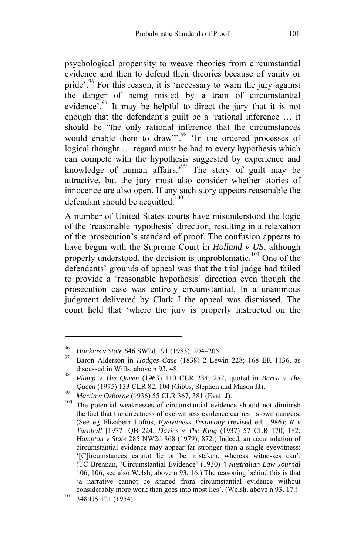psychological propensity to weave theories from circumstantial evidence and then to defend their theories because [of](#page-30-0) vanity or pride<sup>'.96</sup> For this reason, it is 'necessary to warn the jury against the danger of being misled by a train of circumstantial evidence<sup>'.97</sup> It may be helpful to direct the jury [tha](#page-30-1)t it is not enough that the defendant's guilt be a 'rational inference … it should be "the only rational inference that the circumstances would enable them to draw".<sup>98</sup> 'In the ordered processes of logical thought … regard must be had to every hypothesis which can compete with the hypothesis suggested by experience and knowledge of human affairs.<sup>39</sup> The story of guilt may be attractive, but the jury must also consider whether stories of innocence are also open. If any such story appears reasonable the defendant should be acquitted.<sup>100</sup>

A number of United States courts have misunderstood the logic of the 'reasonable hypothesis' direction, resulting in a relaxation of the prosecution's standard of proof. The confusion appears to have begun with the Supreme Court in *Holland v US*, although properly understood, the decision is unproblematic.<sup>101</sup> One of the defendants' grounds of appeal was that the trial judge had failed to provide a 'reasonable hypothesis' direction even though the prosecution case was entirely circumstantial. In a unanimous judgment delivered by Clark J the appeal was dismissed. The court held that 'where the jury is properly instructed on the

<sup>96</sup>*Hankins v State* 646 SW2d 191 (1983), 204–205. 97 Baron Alderson in *Hodges Case* (1838) 2 Lewin 228; 168 ER 1136, as discussed in Wills, above n 93, 48. 98 *Plomp v The Queen* (1963) 110 CLR 234, 252, quoted in *Barca v The* 

<span id="page-30-1"></span><span id="page-30-0"></span>

*Queen* (1975) 133 CLR 82, 104 (Gibbs, Stephen and Mason JJ).<br>*Martin v Osborne* (1936) 55 CLR 367, 381 (Evatt J).<br><sup>100</sup> The potential weaknesses of circumstantial evidence should not diminish the fact that the directness of eye-witness evidence carries its own dangers. (See eg Elizabeth Loftus, *Eyewitness Testimony* (revised ed, 1986); *R v Turnbull* [1977] QB 224; *Davies v The King* (1937) 57 CLR 170, 182; *Hampton v State* 285 NW2d 868 (1979), 872.) Indeed, an accumulation of circumstantial evidence may appear far stronger than a single eyewitness: '[C]ircumstances cannot lie or be mistaken, whereas witnesses can'. (TC Brennan, 'Circumstantial Evidence' (1930) 4 *Australian Law Journal* 106, 106; see also Welsh, above n 93, 16.) The reasoning behind this is that 'a narrative cannot be shaped from circumstantial evidence without considerably more work than goes into most lies'. (Welsh, above n 93, 17.) 101 348 US 121 (1954).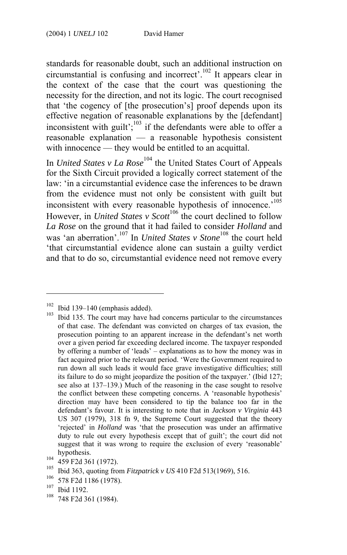standards for reasonable doubt, such an additional instruction on circumstantial is confusing and incorrect'.<sup>102</sup> It [ap](#page-31-0)pears clear in the context of the case that the court was questioning the necessity for the direction, and not its logic. The court recognised that 'the cogency of [the prosecution's] proof depends upon its effective negation of reasonable explanations by the [defendant] inconsistent with guilt'; $103$  if the defendants were able [to](#page-31-1) offer a reasonable explanation — a reasonable hypothesis consistent with innocence — they would be entitled [to](#page-31-2) an acquittal.

In *United States v La Rose*<sup>104</sup> the United States Court of Appeals for the Sixth Circuit provided a logically correct statement of the law: 'in a circumstantial evidence case the inferences to be drawn from the evidence must not only be consistent with guilt but inconsistent with every reasonable hypothesis of innocence.<sup>105</sup> However, in *United States v Scott*<sup>106</sup> the court declined to follow *La Rose* on the ground that it had failed to consider *Holland* and was 'an aberration'.<sup>107</sup> In *United States v Stone*<sup>108</sup> the court held 'that circumstantial evidence alone can sustain a guilty verdict and that to do so, circumstantial evidence need not remove every

<sup>&</sup>lt;sup>102</sup> Ibid 139–140 (emphasis added). 103 Ibid 135. The court may have had concerns particular to the circumstances of that case. The defendant was convicted on charges of tax evasion, the prosecution pointing to an apparent increase in the defendant's net worth over a given period far exceeding declared income. The taxpayer responded by offering a number of 'leads' – explanations as to how the money was in fact acquired prior to the relevant period. 'Were the Government required to run down all such leads it would face grave investigative difficulties; still its failure to do so might jeopardize the position of the taxpayer.' (Ibid 127; see also at 137–139.) Much of the reasoning in the case sought to resolve the conflict between these competing concerns. A 'reasonable hypothesis' direction may have been considered to tip the balance too far in the defendant's favour. It is interesting to note that in *Jackson v Virginia* 443 US 307 (1979), 318 fn 9, the Supreme Court suggested that the theory 'rejected' in *Holland* was 'that the prosecution was under an affirmative duty to rule out every hypothesis except that of guilt'; the court did not suggest that it was wrong to require the exclusion of every 'reasonable'

<span id="page-31-0"></span>

hypothesis.<br>
<sup>104</sup> 459 F2d 361 (1972).<br>
<sup>105</sup> Ibid 363, quoting from *Fitzpatrick v US* 410 F2d 513(1969), 516.<br>
<sup>106</sup> 578 F2d 1186 (1978).<br>
<sup>107</sup> Ibid 1192.<br>
<sup>108</sup> 748 F2d 361 (1984).

<span id="page-31-1"></span>

<span id="page-31-2"></span>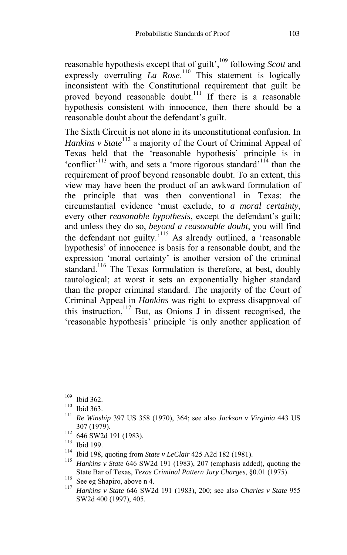reasonable hypothesis except that of guilt',<sup>109</sup> following *Scott* and expressly overruling *La Ro[se](#page-32-0)*.<sup>110</sup> This statement is logically inconsistent with the Constitutional requirement that guilt be proved beyond reasonable doubt.<sup>111</sup> If there is a reasonable hypothesis consistent with innocence, then there should be a reasonable doubt about the defendant's guilt.

The Sixth Circuit is not alone in its unconstitutional confusion. In *Hankins v State*<sup>112</sup> a majority of the Court of C[rim](#page-32-1)inal Appeal of Texas held that the 'reasonable hypothesis' principle is in 'conflict'<sup>113</sup> with, and sets a 'more rigorous standard'<sup>114</sup> than the requirement of proof beyond [reas](#page-32-2)onable doubt. To an extent, this view may have been the product of an awkward formulation of the principle that was then conventional in Texas: the circumstantial evidence 'must exclude, *to a moral certainty*, every other *reasonable hypothesis*, [exce](#page-32-3)pt the defendant's guilt; and unless they do so, *beyond a reasonable doubt*, you will find the defendant not guilty.'115 As already outlined, a 'reasonable hypothesis' of innocence is basis for a reasonable doubt, and the expression 'moral certainty' is another version of the criminal standard.<sup>116</sup> The Texas formulation is therefore, at best, doubly tautological; at worst it sets an exponentially higher standard than the proper criminal standard. The majority of the Court of Criminal Appeal in *Hankins* was right to express disapproval of this instruction, $117$  But, as Onions J in dissent recognised, the 'reasonable hypothesis' principle 'is only another application of

<sup>109</sup> Ibid 362. 110 Ibid 363. 111 *Re Winship* 397 US 358 (1970), 364; see also *Jackson v Virginia* 443 US

<span id="page-32-0"></span>

<span id="page-32-1"></span>

<sup>307 (1979). 112 646</sup> SW2d 191 (1983). 113 Ibid 199. 114 Ibid 198, quoting from *State v LeClair* 425 A2d 182 (1981). 115 *Hankins v State* 646 SW2d 191 (1983), 207 (emphasis added), quoting the

<span id="page-32-3"></span><span id="page-32-2"></span>

State Bar of Texas, *Texas Criminal Pattern Jury Charges*, §0.01 (1975). 116 See eg Shapiro, above n 4. 117 *Hankins v State* 646 SW2d 191 (1983), 200; see also *Charles v State* <sup>955</sup> SW2d 400 (1997), 405.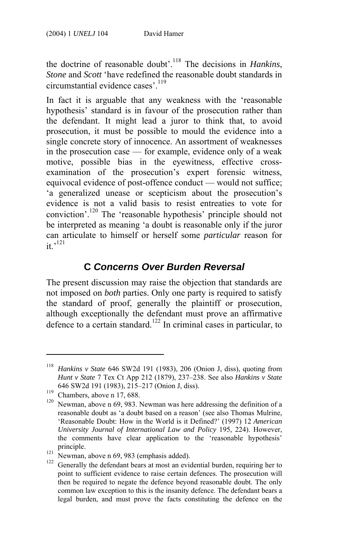the doctrine of reasonable doubt'.118 The decisions in *Hankins*, *Stone* and *Scott* 'have redefined the reasonable doubt standards in circumstantial evidence cases'.<sup>119</sup>

In fact it is arguable that any weakness with the 'reasonable hypothesis' standard is in favour of the prosecution rather than the defendant. It might lead [a ju](#page-33-0)ror to think that, to avoid prosecution, it must be possible to mould the evidence into a single concrete story of innocence. An assortment of weaknesses in the prosecution case [—](#page-33-1) for example, evidence only of a weak motive, possible bias in the eyewitness, effective crossexamination of the prosecution's expert forensic witness, equivocal evidence of post-offence conduct — would not suffice; 'a generalized unease or scepticism about the prosecution's evidence is not a valid basis to resist entreaties to vote for conviction'.120 The 'reasonable hypothesis' principle should not be interpreted as meaning 'a doubt is reasonable only if the juror can articulate to himself or herself some *partic[ular](#page-33-2)* reason for  $\cdot$ it.<sup>121</sup>

## **C** *Concerns Over Burden Reversal*

The present discussion may raise the objection that standards are not imposed on *both* parties. Only one party is required to satisfy the standard of proof, generally the plaintiff or prosecution, although exceptionally the defendant must prove an affirmative defence to a certain standard.<sup>122</sup> In criminal cases in particular, to

<sup>118</sup> *Hankins v State* 646 SW2d 191 (1983), 206 (Onion J, diss), quoting from *Hunt v State* 7 Tex Ct App 212 (1879), 237–238. See also *Hankins v State* 

<span id="page-33-0"></span>

<sup>646</sup> SW2d 191 (1983), 215–217 (Onion J, diss).<br><sup>119</sup> Chambers, above n 17, 688.<br><sup>120</sup> Newman, above n 69, 983. Newman was here addressing the definition of a reasonable doubt as 'a doubt based on a reason' (see also Thomas Mulrine, 'Reasonable Doubt: How in the World is it Defined?' (1997) 12 *American University Journal of International Law and Policy* 195, 224). However, the comments have clear application to the 'reasonable hypothesis'

<span id="page-33-2"></span><span id="page-33-1"></span>

<sup>&</sup>lt;sup>121</sup> Newman, above n 69, 983 (emphasis added). <sup>122</sup> Generally the defendant bears at most an evidential burden, requiring her to point to sufficient evidence to raise certain defences. The prosecution will then be required to negate the defence beyond reasonable doubt. The only common law exception to this is the insanity defence. The defendant bears a legal burden, and must prove the facts constituting the defence on the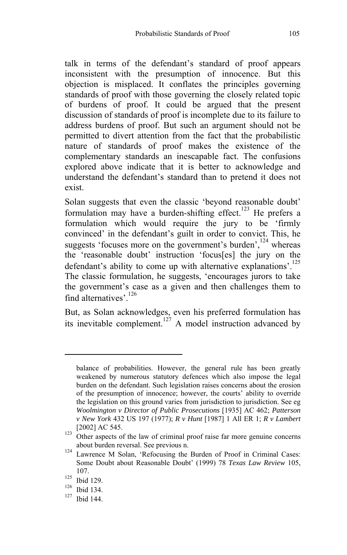talk in terms of the defendant's standard of proof appears inconsistent with the presumption of innocence. But this objection is misplaced. It conflates the principles governing standards of proof with those governing the closely related topic of burdens of proof. It could be argued that the present discussion of standards of proof is incomplete due to its failure to address burdens of proof. But such an argument should not be permitted to divert attention from the fact that the probabilistic nature of standards of proof makes the existence of the complementary standards an inescapable fact. The confusions explored above indicate that it is better to acknowledge and understand the defendant's standard than to pretend it does not exist.

Solan suggests that even the classic ['bey](#page-34-0)ond reasonable doubt' formulation may have a burden-shifting effect.<sup>123</sup> He prefers a formulation which would require the jury to be 'firmly convinced' in the defendant's guilt in order to [con](#page-34-1)vict. This, he suggests 'focuses more on the government's burden',<sup>124</sup> whereas the 'reasonable doubt' instruction 'focus[es] the jury on the defendant's ability to come up with alternative explanations'.<sup>125</sup> The classic formulation, he suggests, 'encourages jurors to take the government's case as a given and then challenges them to find alternatives'.<sup>126</sup>

But, as Solan acknowledges, even his preferred formulation has its inevitable complement.<sup>127</sup> A model instruction advanced by

balance of probabilities. However, the general rule has been greatly weakened by numerous statutory defences which also impose the legal burden on the defendant. Such legislation raises concerns about the erosion of the presumption of innocence; however, the courts' ability to override the legislation on this ground varies from jurisdiction to jurisdiction. See eg *Woolmington v Director of Public Prosecutions* [1935] AC 462; *Patterson v New York* 432 US 197 (1977); *R v Hunt* [1987] 1 All ER 1; *R v Lambert* 

<sup>[2002]</sup> AC 545. 123 Other aspects of the law of criminal proof raise far more genuine concerns

about burden reversal. See previous n. 124 Lawrence M Solan, 'Refocusing the Burden of Proof in Criminal Cases: Some Doubt about Reasonable Doubt' (1999) 78 *Texas Law Review* 105,

<sup>107.&</sup>lt;br>
<sup>125</sup> Ibid 129.<br>
<sup>126</sup> Ibid 134.<br>
<sup>127</sup> Ibid 144.

<span id="page-34-0"></span>

<span id="page-34-1"></span>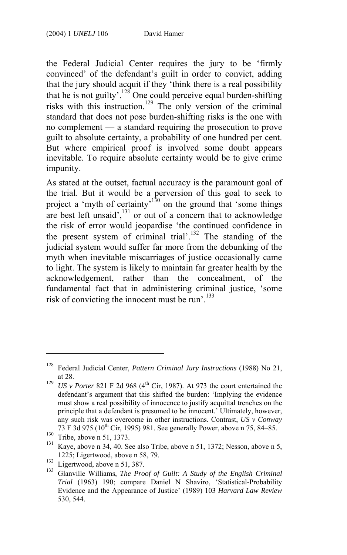the Federal Judicial Center requires the jury to be 'firmly convinced' of the defendant's guilt in order to convict, adding that the jury should acquit if they 'think there is a real possibility that he is not guilty'.<sup>128</sup> One could perceive equal burden-shifting risks with this instruction.<sup>129</sup> The only version [of t](#page-35-0)he criminal standard that does not pose burden-shifti[ng r](#page-35-1)isks is the one with no complement — a standard requiring the prosecution to prove guilt to absolute certainty, a probability of one hundred per cent. But where empirical proof is involved some doubt ap[pear](#page-35-2)s inevitable. To require absolute certainty would be to give crime impunity.

As stated at the outset, factual accuracy is the paramount goal of the trial. But it would be a perversion of this goal to seek to projecta 'myth of certainty'<sup>130</sup> on the ground that 'some things are best left unsaid',<sup>131</sup> or out of a concern that to acknowledge the risk of error would jeopardise 'the continued confidence in the present system of criminal trial'.<sup>132</sup> The standing of the judicial system would suffer far more from the debunking of the myth when inevitable miscarriages of justice occasionally came to light. The system is likely to maintain far greater health by the acknowledgement, rather than the concealment, of the fundamental fact that in administering criminal justice, 'some risk of convicting the innocent must be run'.133

<sup>128</sup> Federal Judicial Center, *Pattern Criminal Jury Instructions* (1988) No 21,

at 28. 129 *US v Porter* 821 F 2d 968 (4th Cir, 1987). At 973 the court entertained the defendant's argument that this shifted the burden: 'Implying the evidence must show a real possibility of innocence to justify acquittal trenches on the principle that a defendant is presumed to be innocent.' Ultimately, however, any such risk was overcome in other instructions. Contrast, *US v Conway* 

<span id="page-35-1"></span><span id="page-35-0"></span>

<sup>&</sup>lt;sup>130</sup> Tribe, above n 51, 1373.<br><sup>131</sup> Kaye, above n 34, 40. See also Tribe, above n 51, 1372; Nesson, above n 5,

<span id="page-35-3"></span><span id="page-35-2"></span>

<sup>1225;</sup> Ligertwood, above n 58, 79. 132 Ligertwood, above n 51, 387. 133 Glanville Williams, *The Proof of Guilt: A Study of the English Criminal Trial* (1963) 190; compare Daniel N Shaviro, 'Statistical-Probability Evidence and the Appearance of Justice' (1989) 103 *Harvard Law Review* 530, 544.